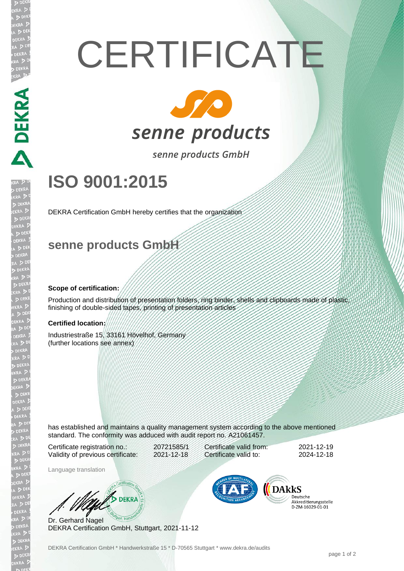# **CERTIFICATE**



senne products GmbH

## **ISO 9001:2015**

DEKRA Certification GmbH hereby certifies that the organization

### **senne products GmbH**

#### **Scope of certification:**

Production and distribution of presentation folders, ring binder, shells and clipboards made of plastic, finishing of double-sided tapes, printing of presentation articles

#### **Certified location:**

**ANSI VANEO** 

Industriestraße 15, 33161 Hövelhof, Germany (further locations see annex)

has established and maintains a quality management system according to the above mentioned standard. The conformity was adduced with audit report no. A21061457.

Certificate registration no.: 20721585/1 Validity of previous certificate: 2021-12-18

Certificate valid from: 2021-12-19 Certificate valid to: 2024-12-18

Language translation

WA DEKRA

Dr. Gerhard Nagel DEKRA Certification GmbH, Stuttgart, 2021-11-12



Deutsche Akkreditierungsstelle